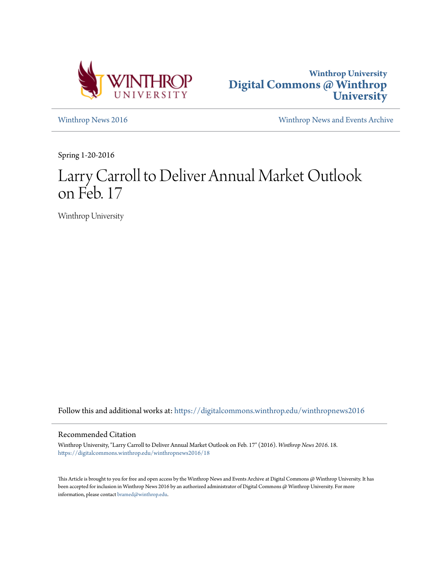



[Winthrop News 2016](https://digitalcommons.winthrop.edu/winthropnews2016?utm_source=digitalcommons.winthrop.edu%2Fwinthropnews2016%2F18&utm_medium=PDF&utm_campaign=PDFCoverPages) [Winthrop News and Events Archive](https://digitalcommons.winthrop.edu/winthropnewsarchives?utm_source=digitalcommons.winthrop.edu%2Fwinthropnews2016%2F18&utm_medium=PDF&utm_campaign=PDFCoverPages)

Spring 1-20-2016

# Larry Carroll to Deliver Annual Market Outlook on Feb. 17

Winthrop University

Follow this and additional works at: [https://digitalcommons.winthrop.edu/winthropnews2016](https://digitalcommons.winthrop.edu/winthropnews2016?utm_source=digitalcommons.winthrop.edu%2Fwinthropnews2016%2F18&utm_medium=PDF&utm_campaign=PDFCoverPages)

## Recommended Citation

Winthrop University, "Larry Carroll to Deliver Annual Market Outlook on Feb. 17" (2016). *Winthrop News 2016*. 18. [https://digitalcommons.winthrop.edu/winthropnews2016/18](https://digitalcommons.winthrop.edu/winthropnews2016/18?utm_source=digitalcommons.winthrop.edu%2Fwinthropnews2016%2F18&utm_medium=PDF&utm_campaign=PDFCoverPages)

This Article is brought to you for free and open access by the Winthrop News and Events Archive at Digital Commons @ Winthrop University. It has been accepted for inclusion in Winthrop News 2016 by an authorized administrator of Digital Commons @ Winthrop University. For more information, please contact [bramed@winthrop.edu](mailto:bramed@winthrop.edu).